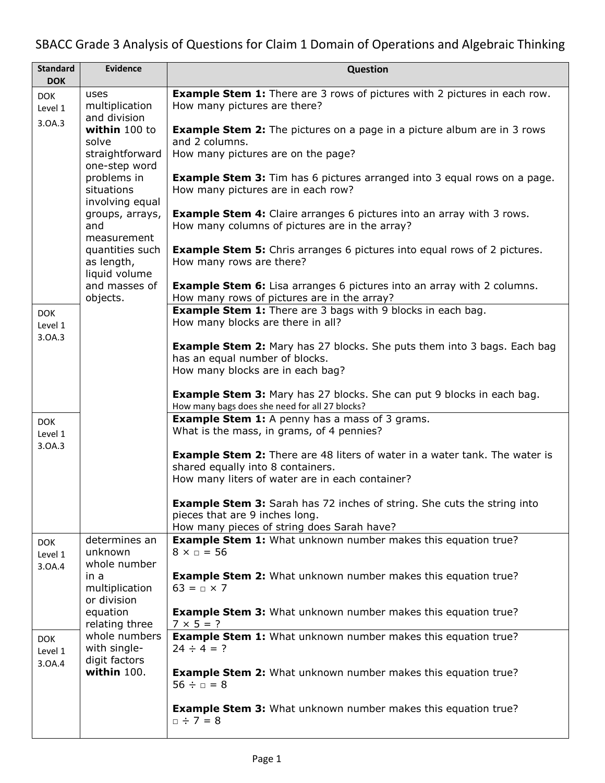## SBACC Grade 3 Analysis of Questions for Claim 1 Domain of Operations and Algebraic Thinking

| <b>Standard</b><br><b>DOK</b>   | <b>Evidence</b>                                       | <b>Question</b>                                                                                                                                                |
|---------------------------------|-------------------------------------------------------|----------------------------------------------------------------------------------------------------------------------------------------------------------------|
| <b>DOK</b><br>Level 1           | uses<br>multiplication<br>and division                | <b>Example Stem 1:</b> There are 3 rows of pictures with 2 pictures in each row.<br>How many pictures are there?                                               |
| 3.0A.3                          | within 100 to<br>solve                                | <b>Example Stem 2:</b> The pictures on a page in a picture album are in 3 rows<br>and 2 columns.                                                               |
|                                 | straightforward<br>one-step word                      | How many pictures are on the page?                                                                                                                             |
|                                 | problems in<br>situations<br>involving equal          | <b>Example Stem 3:</b> Tim has 6 pictures arranged into 3 equal rows on a page.<br>How many pictures are in each row?                                          |
|                                 | groups, arrays,<br>and<br>measurement                 | <b>Example Stem 4:</b> Claire arranges 6 pictures into an array with 3 rows.<br>How many columns of pictures are in the array?                                 |
|                                 | quantities such<br>as length,<br>liquid volume        | <b>Example Stem 5:</b> Chris arranges 6 pictures into equal rows of 2 pictures.<br>How many rows are there?                                                    |
|                                 | and masses of<br>objects.                             | <b>Example Stem 6:</b> Lisa arranges 6 pictures into an array with 2 columns.<br>How many rows of pictures are in the array?                                   |
| <b>DOK</b><br>Level 1<br>3.0A.3 |                                                       | <b>Example Stem 1:</b> There are 3 bags with 9 blocks in each bag.<br>How many blocks are there in all?                                                        |
|                                 |                                                       | <b>Example Stem 2:</b> Mary has 27 blocks. She puts them into 3 bags. Each bag<br>has an equal number of blocks.<br>How many blocks are in each bag?           |
|                                 |                                                       | <b>Example Stem 3:</b> Mary has 27 blocks. She can put 9 blocks in each bag.<br>How many bags does she need for all 27 blocks?                                 |
| <b>DOK</b><br>Level 1           |                                                       | <b>Example Stem 1:</b> A penny has a mass of 3 grams.<br>What is the mass, in grams, of 4 pennies?                                                             |
| 3.0A.3                          |                                                       | <b>Example Stem 2:</b> There are 48 liters of water in a water tank. The water is<br>shared equally into 8 containers.                                         |
|                                 |                                                       | How many liters of water are in each container?                                                                                                                |
|                                 |                                                       | <b>Example Stem 3:</b> Sarah has 72 inches of string. She cuts the string into<br>pieces that are 9 inches long.<br>How many pieces of string does Sarah have? |
| <b>DOK</b><br>Level 1           | determines an<br>unknown                              | <b>Example Stem 1:</b> What unknown number makes this equation true?<br>$8 \times \square = 56$                                                                |
| 3.0A.4                          | whole number<br>in a<br>multiplication<br>or division | <b>Example Stem 2:</b> What unknown number makes this equation true?<br>$63 = n \times 7$                                                                      |
|                                 | equation<br>relating three                            | <b>Example Stem 3:</b> What unknown number makes this equation true?<br>$7 \times 5 = ?$                                                                       |
| <b>DOK</b><br>Level 1<br>3.0A.4 | whole numbers<br>with single-<br>digit factors        | <b>Example Stem 1:</b> What unknown number makes this equation true?<br>$24 \div 4 = ?$                                                                        |
|                                 | within 100.                                           | <b>Example Stem 2:</b> What unknown number makes this equation true?<br>$56 \div a = 8$                                                                        |
|                                 |                                                       | <b>Example Stem 3:</b> What unknown number makes this equation true?<br>$\Box \div 7 = 8$                                                                      |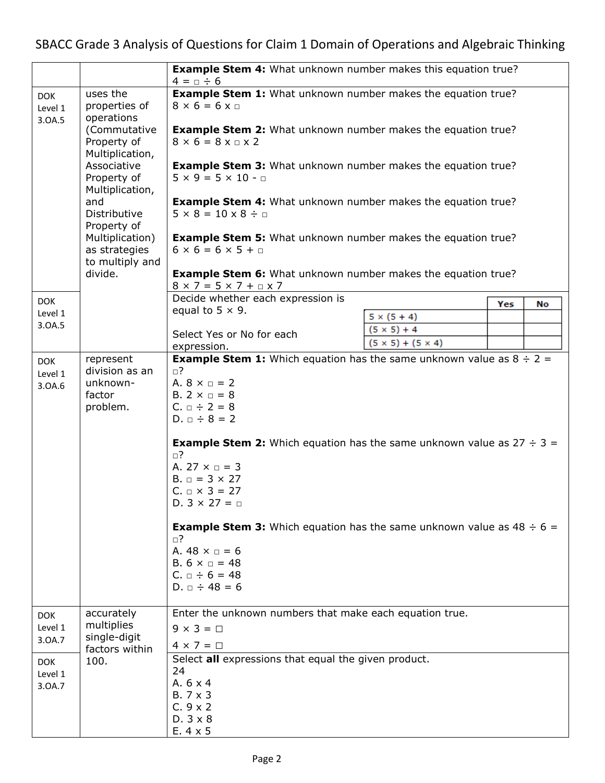|                                                                    |                                                                                                                                                | <b>Example Stem 4:</b> What unknown number makes this equation true?<br>$4 = \Box \div 6$                                                                                                                                                                                                                                                                                                                                                                                                                                                                                                          |                               |     |    |
|--------------------------------------------------------------------|------------------------------------------------------------------------------------------------------------------------------------------------|----------------------------------------------------------------------------------------------------------------------------------------------------------------------------------------------------------------------------------------------------------------------------------------------------------------------------------------------------------------------------------------------------------------------------------------------------------------------------------------------------------------------------------------------------------------------------------------------------|-------------------------------|-----|----|
| <b>DOK</b><br>Level 1<br>3.0A.5                                    | uses the<br>properties of<br>operations                                                                                                        | <b>Example Stem 1:</b> What unknown number makes the equation true?<br>$8 \times 6 = 6 \times \square$                                                                                                                                                                                                                                                                                                                                                                                                                                                                                             |                               |     |    |
|                                                                    | (Commutative<br>Property of<br>Multiplication,                                                                                                 | <b>Example Stem 2:</b> What unknown number makes the equation true?<br>$8 \times 6 = 8 \times \square \times 2$                                                                                                                                                                                                                                                                                                                                                                                                                                                                                    |                               |     |    |
|                                                                    | Associative<br>Property of<br>Multiplication,                                                                                                  | <b>Example Stem 3:</b> What unknown number makes the equation true?<br>$5 \times 9 = 5 \times 10 - \Box$<br><b>Example Stem 4:</b> What unknown number makes the equation true?<br>$5 \times 8 = 10 \times 8 \div \Box$                                                                                                                                                                                                                                                                                                                                                                            |                               |     |    |
|                                                                    | and<br>Distributive<br>Property of                                                                                                             |                                                                                                                                                                                                                                                                                                                                                                                                                                                                                                                                                                                                    |                               |     |    |
|                                                                    | Multiplication)<br><b>Example Stem 5:</b> What unknown number makes the equation true?<br>as strategies<br>$6 \times 6 = 6 \times 5 + \square$ |                                                                                                                                                                                                                                                                                                                                                                                                                                                                                                                                                                                                    |                               |     |    |
|                                                                    | to multiply and<br>divide.                                                                                                                     | <b>Example Stem 6:</b> What unknown number makes the equation true?<br>$8 \times 7 = 5 \times 7 + \text{nx}$                                                                                                                                                                                                                                                                                                                                                                                                                                                                                       |                               |     |    |
| <b>DOK</b>                                                         |                                                                                                                                                | Decide whether each expression is                                                                                                                                                                                                                                                                                                                                                                                                                                                                                                                                                                  |                               | Yes | No |
| Level 1                                                            |                                                                                                                                                | equal to $5 \times 9$ .                                                                                                                                                                                                                                                                                                                                                                                                                                                                                                                                                                            | $5 \times (5 + 4)$            |     |    |
| 3.0A.5                                                             |                                                                                                                                                | Select Yes or No for each                                                                                                                                                                                                                                                                                                                                                                                                                                                                                                                                                                          | $(5 \times 5) + 4$            |     |    |
|                                                                    |                                                                                                                                                | expression.                                                                                                                                                                                                                                                                                                                                                                                                                                                                                                                                                                                        | $(5 \times 5) + (5 \times 4)$ |     |    |
| Level 1<br>3.0A.6                                                  | division as an<br>unknown-<br>factor<br>problem.                                                                                               | <b>Example Stem 1:</b> Which equation has the same unknown value as $8 \div 2 =$<br>⊡?<br>A. $8 \times 7 = 2$<br>B. $2 \times \square = 8$<br>$C. \Box \div 2 = 8$<br>$D. \Box \div 8 = 2$<br><b>Example Stem 2:</b> Which equation has the same unknown value as $27 \div 3 =$<br>$\Box$ ?<br>A. 27 $\times$ $=$ 3<br>$B. \Box = 3 \times 27$<br>$C. \Box \times 3 = 27$<br>D. $3 \times 27 = \Box$<br><b>Example Stem 3:</b> Which equation has the same unknown value as $48 \div 6 =$<br>⊡?<br>A. $48 \times \Box = 6$<br>B. $6 \times \square = 48$<br>$C. \Box \div 6 = 48$<br>D. $= 48 = 6$ |                               |     |    |
| <b>DOK</b><br>Level 1<br>3.0A.7<br><b>DOK</b><br>Level 1<br>3.0A.7 | accurately<br>multiplies<br>single-digit<br>factors within<br>100.                                                                             | Enter the unknown numbers that make each equation true.<br>$9 \times 3 = \square$<br>$4 \times 7 = \Box$<br>Select all expressions that equal the given product.<br>24<br>A. 6 x 4<br>B. 7 x 3<br>$C.9 \times 2$<br>$D.3 \times 8$<br>$E.4 \times 5$                                                                                                                                                                                                                                                                                                                                               |                               |     |    |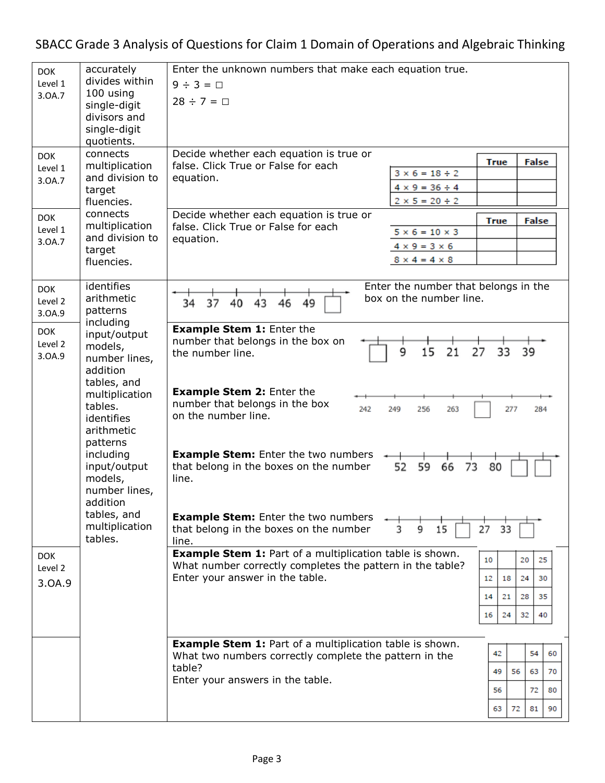SBACC Grade 3 Analysis of Questions for Claim 1 Domain of Operations and Algebraic Thinking

| <b>DOK</b> | accurately                   | Enter the unknown numbers that make each equation true.<br>$9 \div 3 = \Box$<br>$28 \div 7 = \Box$               |                                      |             |          |  |
|------------|------------------------------|------------------------------------------------------------------------------------------------------------------|--------------------------------------|-------------|----------|--|
| Level 1    | divides within               |                                                                                                                  |                                      |             |          |  |
| 3.0A.7     | 100 using                    |                                                                                                                  |                                      |             |          |  |
|            | single-digit<br>divisors and |                                                                                                                  |                                      |             |          |  |
|            | single-digit                 |                                                                                                                  |                                      |             |          |  |
|            | quotients.                   |                                                                                                                  |                                      |             |          |  |
| <b>DOK</b> | connects                     | Decide whether each equation is true or                                                                          |                                      |             |          |  |
| Level 1    | multiplication               | false. Click True or False for each                                                                              |                                      | <b>True</b> | False    |  |
| 3.0A.7     | and division to              | equation.                                                                                                        | $3 \times 6 = 18 \div 2$             |             |          |  |
|            | target                       |                                                                                                                  | $4 \times 9 = 36 \div 4$             |             |          |  |
|            | fluencies.                   |                                                                                                                  | $2 \times 5 = 20 \div 2$             |             |          |  |
| <b>DOK</b> | connects                     | Decide whether each equation is true or                                                                          |                                      | <b>True</b> | False    |  |
| Level 1    | multiplication               | false. Click True or False for each                                                                              | $5 \times 6 = 10 \times 3$           |             |          |  |
| 3.0A.7     | and division to              | equation.                                                                                                        | $4 \times 9 = 3 \times 6$            |             |          |  |
|            | target                       |                                                                                                                  | $8 \times 4 = 4 \times 8$            |             |          |  |
|            | fluencies.                   |                                                                                                                  |                                      |             |          |  |
|            | identifies                   |                                                                                                                  | Enter the number that belongs in the |             |          |  |
| <b>DOK</b> | arithmetic                   |                                                                                                                  | box on the number line.              |             |          |  |
| Level 2    | patterns                     | 37<br>49<br>34<br>40<br>43<br>46                                                                                 |                                      |             |          |  |
| 3.0A.9     | including                    |                                                                                                                  |                                      |             |          |  |
| <b>DOK</b> | input/output                 | <b>Example Stem 1: Enter the</b>                                                                                 |                                      |             |          |  |
| Level 2    | models,                      | number that belongs in the box on<br>the number line.                                                            | 27<br>15<br>21<br>9                  | 33          | 39       |  |
| 3.0A.9     | number lines,                |                                                                                                                  |                                      |             |          |  |
|            | addition                     |                                                                                                                  |                                      |             |          |  |
|            | tables, and                  |                                                                                                                  |                                      |             |          |  |
|            | multiplication               | <b>Example Stem 2: Enter the</b><br>number that belongs in the box                                               |                                      |             |          |  |
|            | tables.                      | 242<br>249<br>on the number line.                                                                                | 256<br>263                           | 277         | 284      |  |
|            | identifies<br>arithmetic     |                                                                                                                  |                                      |             |          |  |
|            | patterns                     |                                                                                                                  |                                      |             |          |  |
|            | including                    | <b>Example Stem:</b> Enter the two numbers                                                                       |                                      |             |          |  |
|            | input/output                 | that belong in the boxes on the number                                                                           | 52<br>59<br>66<br>73                 | 80          |          |  |
|            | models,                      | line.                                                                                                            |                                      |             |          |  |
|            | number lines,                |                                                                                                                  |                                      |             |          |  |
|            | addition                     |                                                                                                                  |                                      |             |          |  |
|            | tables, and                  | <b>Example Stem:</b> Enter the two numbers<br>9<br>that belong in the boxes on the number<br>3<br>15<br>27<br>33 |                                      |             |          |  |
|            | multiplication               |                                                                                                                  |                                      |             |          |  |
|            | tables.                      | line.                                                                                                            |                                      |             |          |  |
| <b>DOK</b> |                              | <b>Example Stem 1: Part of a multiplication table is shown.</b>                                                  |                                      | 10          | 20<br>25 |  |
| Level 2    |                              | What number correctly completes the pattern in the table?                                                        |                                      |             |          |  |
| 3.0A.9     |                              | Enter your answer in the table.                                                                                  |                                      | 18<br>12    | 24<br>30 |  |
|            |                              |                                                                                                                  |                                      | 14<br>21    | 28<br>35 |  |
|            |                              |                                                                                                                  |                                      |             |          |  |
|            |                              |                                                                                                                  |                                      | 24<br>16    | 32<br>40 |  |
|            |                              |                                                                                                                  |                                      |             |          |  |
|            |                              | <b>Example Stem 1: Part of a multiplication table is shown.</b>                                                  |                                      |             |          |  |
|            |                              | What two numbers correctly complete the pattern in the                                                           |                                      | 42          | 54<br>60 |  |
|            |                              | table?                                                                                                           |                                      | 49<br>56    | 63<br>70 |  |
|            |                              | Enter your answers in the table.                                                                                 |                                      | 56          | 72<br>80 |  |
|            |                              |                                                                                                                  |                                      |             |          |  |
|            |                              |                                                                                                                  |                                      | 63<br>72    | 81<br>90 |  |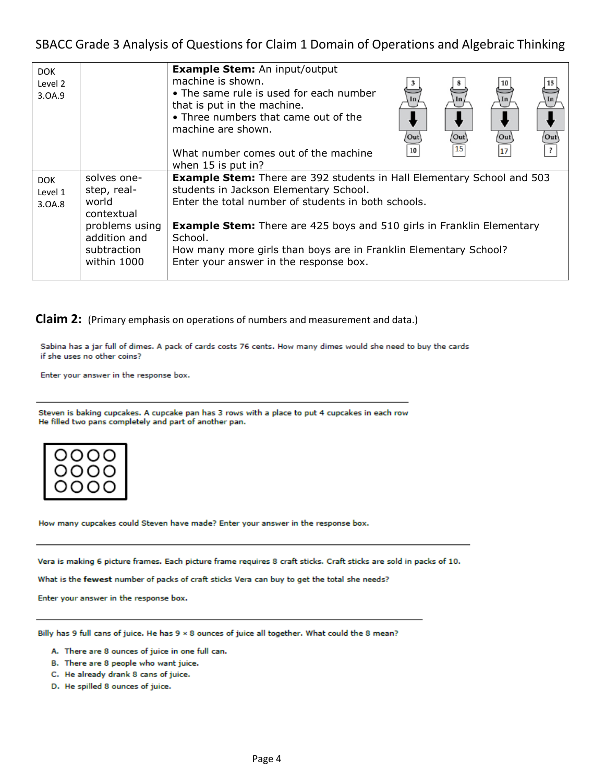## SBACC Grade 3 Analysis of Questions for Claim 1 Domain of Operations and Algebraic Thinking

| <b>DOK</b><br>Level 2<br>3.0A.9 |                                                                                                                   | <b>Example Stem:</b> An input/output<br>machine is shown.<br>• The same rule is used for each number<br>In.<br>that is put in the machine.<br>• Three numbers that came out of the<br>machine are shown.<br>Out<br>$\setminus$ Out<br>'Out'<br>Out <sup>1</sup><br>15<br>17<br>10<br>What number comes out of the machine<br>when 15 is put in?                                         |  |
|---------------------------------|-------------------------------------------------------------------------------------------------------------------|-----------------------------------------------------------------------------------------------------------------------------------------------------------------------------------------------------------------------------------------------------------------------------------------------------------------------------------------------------------------------------------------|--|
| <b>DOK</b><br>Level 1<br>3.0A.8 | solves one-<br>step, real-<br>world<br>contextual<br>problems using<br>addition and<br>subtraction<br>within 1000 | <b>Example Stem:</b> There are 392 students in Hall Elementary School and 503<br>students in Jackson Elementary School.<br>Enter the total number of students in both schools.<br><b>Example Stem:</b> There are 425 boys and 510 girls in Franklin Elementary<br>School.<br>How many more girls than boys are in Franklin Elementary School?<br>Enter your answer in the response box. |  |

**Claim 2:** (Primary emphasis on operations of numbers and measurement and data.)

Sabina has a jar full of dimes. A pack of cards costs 76 cents. How many dimes would she need to buy the cards if she uses no other coins?

Enter your answer in the response box.

Steven is baking cupcakes. A cupcake pan has 3 rows with a place to put 4 cupcakes in each row He filled two pans completely and part of another pan.



How many cupcakes could Steven have made? Enter your answer in the response box.

Vera is making 6 picture frames. Each picture frame requires 8 craft sticks. Craft sticks are sold in packs of 10.

What is the fewest number of packs of craft sticks Vera can buy to get the total she needs?

Enter your answer in the response box.

Billy has 9 full cans of juice. He has 9 x 8 ounces of juice all together. What could the 8 mean?

- A. There are 8 ounces of juice in one full can.
- B. There are 8 people who want juice.
- C. He already drank 8 cans of juice.
- D. He spilled 8 ounces of juice.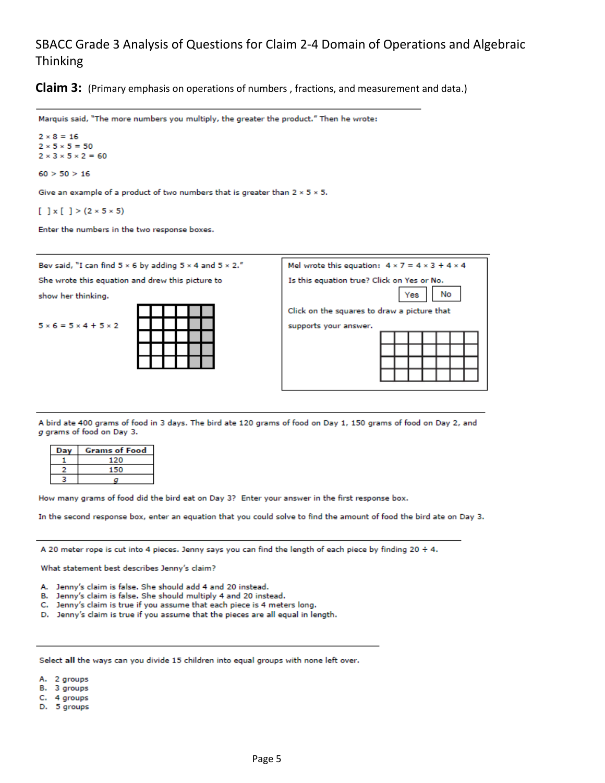## SBACC Grade 3 Analysis of Questions for Claim 2-4 Domain of Operations and Algebraic Thinking

**Claim 3:** (Primary emphasis on operations of numbers, fractions, and measurement and data.)

Marquis said, "The more numbers you multiply, the greater the product." Then he wrote:

 $2 \times 8 = 16$  $2 \times 5 \times 5 = 50$  $2 \times 3 \times 5 \times 2 = 60$ 

 $60 > 50 > 16$ 

Give an example of a product of two numbers that is greater than  $2 \times 5 \times 5$ .

 $[ ] x [ ] > (2 \times 5 \times 5)$ 

Enter the numbers in the two response boxes.

| Bev said, "I can find $5 \times 6$ by adding $5 \times 4$ and $5 \times 2$ ." | Mel wrote this equation: $4 \times 7 = 4 \times 3 + 4 \times 4$      |  |  |
|-------------------------------------------------------------------------------|----------------------------------------------------------------------|--|--|
| She wrote this equation and drew this picture to                              | Is this equation true? Click on Yes or No.                           |  |  |
| show her thinking.                                                            | No<br>Yes                                                            |  |  |
| $5 \times 6 = 5 \times 4 + 5 \times 2$                                        | Click on the squares to draw a picture that<br>supports your answer. |  |  |

A bird ate 400 grams of food in 3 days. The bird ate 120 grams of food on Day 1, 150 grams of food on Day 2, and g grams of food on Day 3.

| Da | <b>Grams of Food</b> |
|----|----------------------|
|    |                      |
|    |                      |
|    |                      |

How many grams of food did the bird eat on Day 3? Enter your answer in the first response box.

In the second response box, enter an equation that you could solve to find the amount of food the bird ate on Day 3.

A 20 meter rope is cut into 4 pieces. Jenny says you can find the length of each piece by finding 20 ÷ 4.

What statement best describes Jenny's claim?

- A. Jenny's claim is false. She should add 4 and 20 instead.
- B. Jenny's claim is false. She should multiply 4 and 20 instead.
- C. Jenny's claim is true if you assume that each piece is 4 meters long.
- D. Jenny's claim is true if you assume that the pieces are all equal in length.

Select all the ways can you divide 15 children into equal groups with none left over.

A. 2 groups

- B. 3 groups
- C. 4 groups
- D. 5 groups